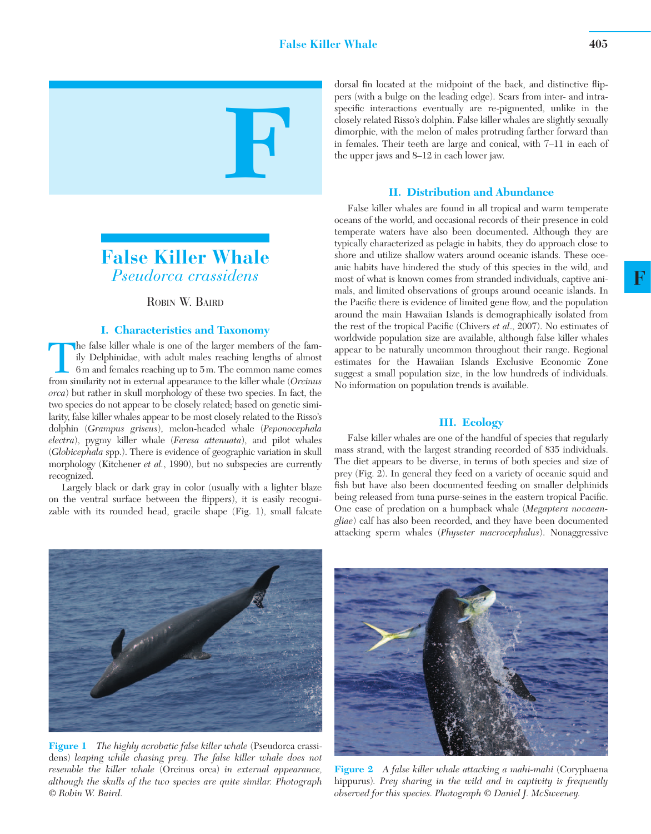



# ROBIN W. BAIRD

## **I. Characteristics and Taxonomy**

The false killer whale is one of the larger members of the fam-<br>ily Delphinidae, with adult males reaching lengths of almost<br>6m and females reaching up to 5m. The common name comes<br>from similarity not in external appearanc ily Delphinidae, with adult males reaching lengths of almost 6 m and females reaching up to 5 m. The common name comes from similarity not in external appearance to the killer whale ( *Orcinus orca* ) but rather in skull morphology of these two species. In fact, the two species do not appear to be closely related; based on genetic similarity, false killer whales appear to be most closely related to the Risso's dolphin ( *Grampus griseus*), melon-headed whale ( *Peponocephala electra*), pygmy killer whale ( *Feresa attenuata*), and pilot whales (*Globicephala* spp.). There is evidence of geographic variation in skull morphology (Kitchener *et al.*, 1990), but no subspecies are currently recognized.

 Largely black or dark gray in color (usually with a lighter blaze on the ventral surface between the flippers), it is easily recognizable with its rounded head, gracile shape (Fig. 1), small falcate dorsal fin located at the midpoint of the back, and distinctive flippers (with a bulge on the leading edge). Scars from inter- and intraspecific interactions eventually are re-pigmented, unlike in the closely related Risso's dolphin. False killer whales are slightly sexually dimorphic, with the melon of males protruding farther forward than in females. Their teeth are large and conical, with 7–11 in each of the upper jaws and 8–12 in each lower jaw.

## **II. Distribution and Abundance**

False killer whales are found in all tropical and warm temperate oceans of the world, and occasional records of their presence in cold temperate waters have also been documented. Although they are typically characterized as pelagic in habits, they do approach close to shore and utilize shallow waters around oceanic islands. These oceanic habits have hindered the study of this species in the wild, and most of what is known comes from stranded individuals, captive animals, and limited observations of groups around oceanic islands. In the Pacific there is evidence of limited gene flow, and the population around the main Hawaiian Islands is demographically isolated from the rest of the tropical Pacific (Chivers *et al.*, 2007). No estimates of worldwide population size are available, although false killer whales appear to be naturally uncommon throughout their range. Regional estimates for the Hawaiian Islands Exclusive Economic Zone suggest a small population size, in the low hundreds of individuals. No information on population trends is available.

#### **III. Ecology**

 False killer whales are one of the handful of species that regularly mass strand, with the largest stranding recorded of 835 individuals. The diet appears to be diverse, in terms of both species and size of prey (Fig. 2). In general they feed on a variety of oceanic squid and fish but have also been documented feeding on smaller delphinids being released from tuna purse-seines in the eastern tropical Pacific. One case of predation on a humpback whale ( *Megaptera novaeangliae*) calf has also been recorded, and they have been documented attacking sperm whales ( *Physeter macrocephalus* ). Nonaggressive



**Figure 1** *The highly acrobatic false killer whale* (Pseudorca crassidens) *leaping while chasing prey. The false killer whale does not resemble the killer whale* (Orcinus orca) *in external appearance, although the skulls of the two species are quite similar. Photograph © Robin W. Baird.* 



**Figure 2** *A false killer whale attacking a mahi-mahi* (Coryphaena hippurus)*. Prey sharing in the wild and in captivity is frequently observed for this species. Photograph © Daniel J. McSweeney.*